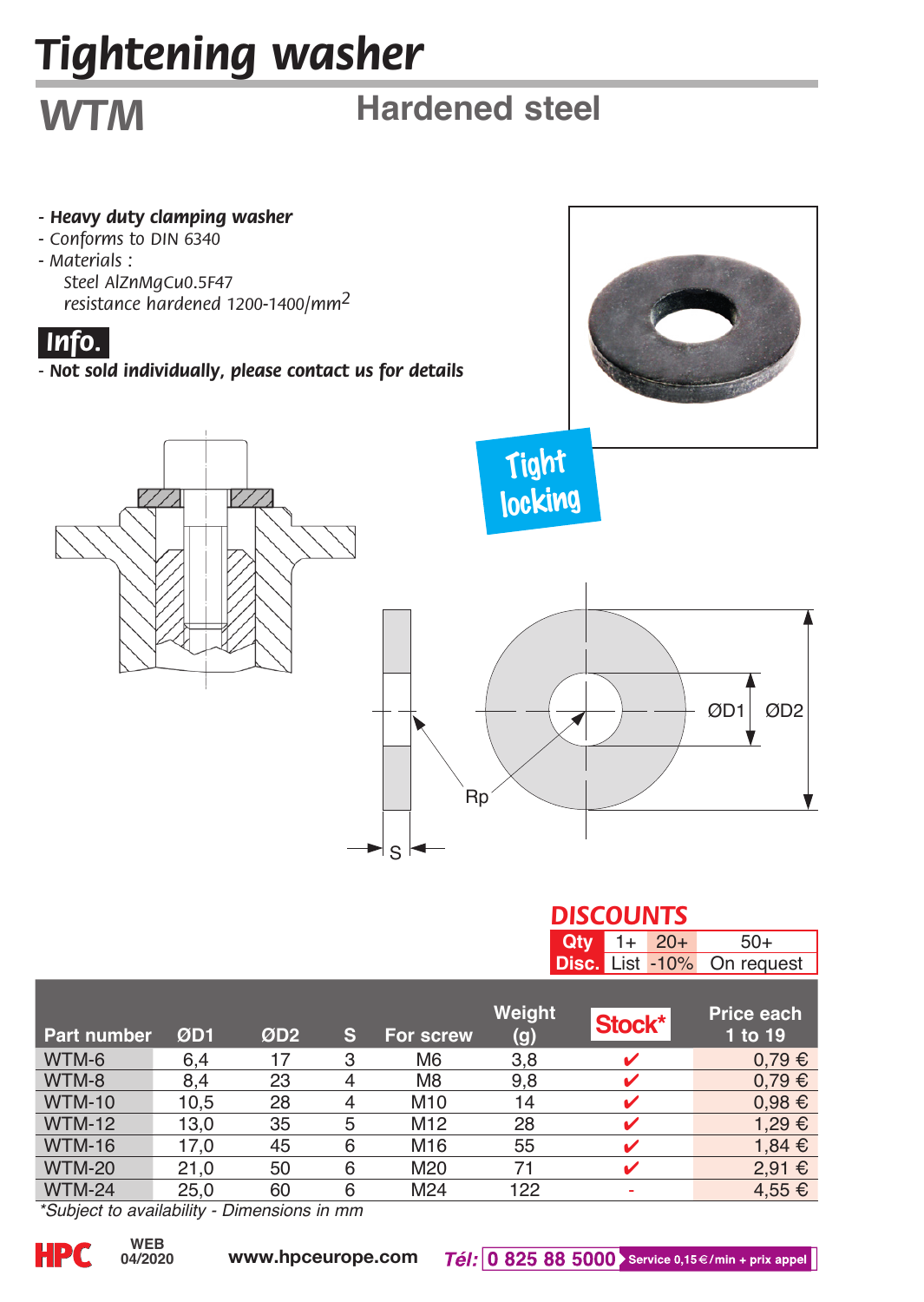# *Tightening washer*

## *WTM*

## **Hardened steel**

#### *- Heavy duty clamping washer*

- *Conforms to DIN 6340*
- *Materials :* 
	- *Steel AlZnMgCu0.5F47*

*resistance hardened 1200-1400/mm2*

#### *.Info..*

*- Not sold individually, please contact us for details*



|                    |      |                 |   |                 | <b>DISCOUNTS</b> |                    |            |  |
|--------------------|------|-----------------|---|-----------------|------------------|--------------------|------------|--|
|                    |      |                 |   |                 |                  | Qtv<br>$20+$<br>1+ | $50+$      |  |
|                    |      |                 |   |                 |                  | Disc. List -10%    | On request |  |
|                    |      |                 |   |                 |                  |                    |            |  |
|                    |      |                 |   |                 | Weight           | Stock*             | Price each |  |
| <b>Part number</b> | ØD1  | ØD <sub>2</sub> | s | For screw       | (g)              |                    | 1 to 19    |  |
| WTM-6              | 6.4  | 17              | 3 | M <sub>6</sub>  | 3,8              | ✓                  | $0,79 \in$ |  |
| WTM-8              | 8,4  | 23              | 4 | M <sub>8</sub>  | 9,8              | ✓                  | $0,79 \in$ |  |
| <b>WTM-10</b>      | 10.5 | 28              | 4 | M <sub>10</sub> | 14               | ✓                  | $0.98 \in$ |  |
| <b>WTM-12</b>      | 13,0 | 35              | 5 | M <sub>12</sub> | 28               | ✓                  | 1,29 €     |  |
| <b>WTM-16</b>      | 17.0 | 45              | 6 | M16             | 55               | ✓                  | $1.84 \in$ |  |
| <b>WTM-20</b>      | 21,0 | 50              | 6 | M20             | 71               | ✓                  | 2,91 €     |  |
| <b>WTM-24</b>      | 25,0 | 60              | 6 | M24             | 122              | ۰                  | $4.55 \in$ |  |
| .                  |      |                 |   |                 |                  |                    |            |  |

*\*Subject to availability - Dimensions in mm*

**04/2020**